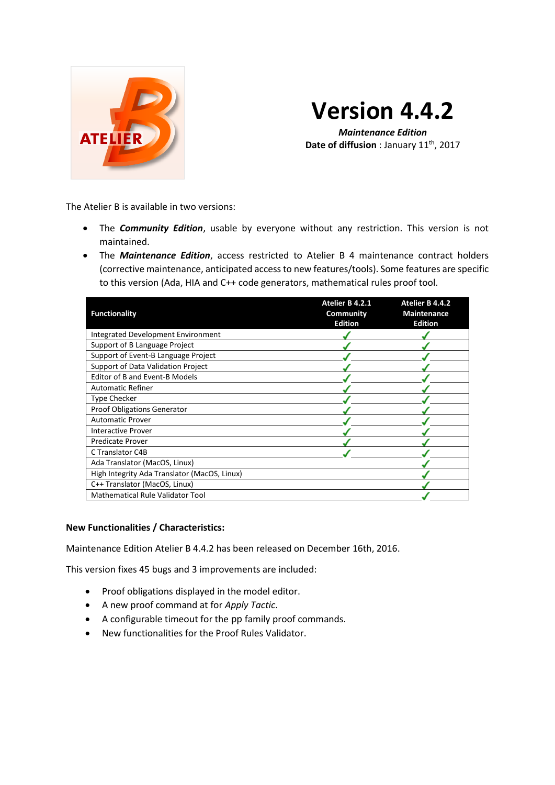

# **Version 4.4.2**

*Maintenance Edition* **Date of diffusion** : January 11<sup>th</sup>, 2017

The Atelier B is available in two versions:

- The *Community Edition*, usable by everyone without any restriction. This version is not maintained.
- The *Maintenance Edition*, access restricted to Atelier B 4 maintenance contract holders (corrective maintenance, anticipated access to new features/tools). Some features are specific to this version (Ada, HIA and C++ code generators, mathematical rules proof tool.

| <b>Functionality</b>                         | Atelier B 4.2.1<br><b>Community</b><br><b>Edition</b> | Atelier B 4.4.2<br><b>Maintenance</b><br><b>Edition</b> |
|----------------------------------------------|-------------------------------------------------------|---------------------------------------------------------|
| <b>Integrated Development Environment</b>    |                                                       |                                                         |
| Support of B Language Project                |                                                       |                                                         |
| Support of Event-B Language Project          |                                                       |                                                         |
| Support of Data Validation Project           |                                                       |                                                         |
| Editor of B and Event-B Models               |                                                       |                                                         |
| <b>Automatic Refiner</b>                     |                                                       |                                                         |
| <b>Type Checker</b>                          |                                                       |                                                         |
| <b>Proof Obligations Generator</b>           |                                                       |                                                         |
| <b>Automatic Prover</b>                      |                                                       |                                                         |
| <b>Interactive Prover</b>                    |                                                       |                                                         |
| <b>Predicate Prover</b>                      |                                                       |                                                         |
| C Translator C4B                             |                                                       |                                                         |
| Ada Translator (MacOS, Linux)                |                                                       |                                                         |
| High Integrity Ada Translator (MacOS, Linux) |                                                       |                                                         |
| C++ Translator (MacOS, Linux)                |                                                       |                                                         |
| Mathematical Rule Validator Tool             |                                                       |                                                         |

### **New Functionalities / Characteristics:**

Maintenance Edition Atelier B 4.4.2 has been released on December 16th, 2016.

This version fixes 45 bugs and 3 improvements are included:

- Proof obligations displayed in the model editor.
- A new proof command at for *Apply Tactic*.
- A configurable timeout for the pp family proof commands.
- New functionalities for the Proof Rules Validator.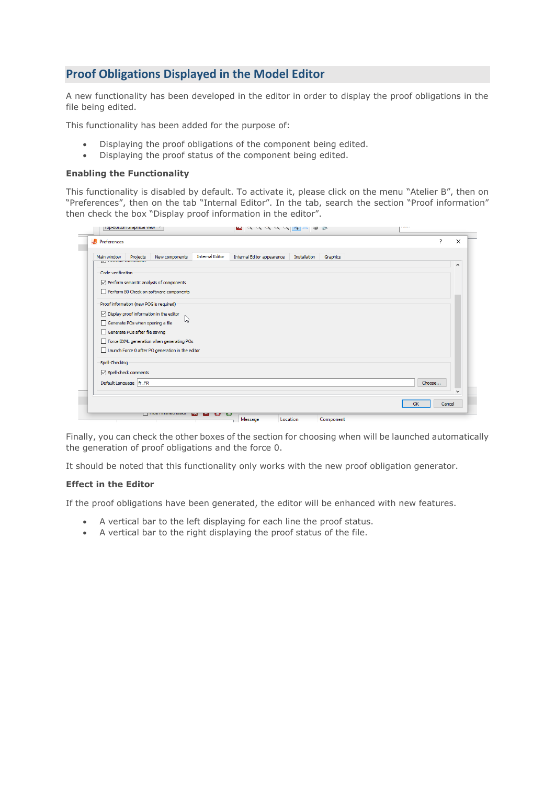## **Proof Obligations Displayed in the Model Editor**

A new functionality has been developed in the editor in order to display the proof obligations in the file being edited.

This functionality has been added for the purpose of:

- Displaying the proof obligations of the component being edited.
- Displaying the proof status of the component being edited.

#### **Enabling the Functionality**

This functionality is disabled by default. To activate it, please click on the menu "Atelier B", then on "Preferences", then on the tab "Internal Editor". In the tab, search the section "Proof information" then check the box "Display proof information in the editor".

| Main window<br><b>If I have also instant and</b> | Projects                       | New components                                          | <b>Internal Editor</b> | Internal Editor appearence | Installation | Graphics |        |              |
|--------------------------------------------------|--------------------------------|---------------------------------------------------------|------------------------|----------------------------|--------------|----------|--------|--------------|
|                                                  |                                |                                                         |                        |                            |              |          |        | $\wedge$     |
| Code verification                                |                                |                                                         |                        |                            |              |          |        |              |
|                                                  |                                | $\vee$ Perform semantic analysis of components          |                        |                            |              |          |        |              |
|                                                  |                                | Perform B0 Check on software components                 |                        |                            |              |          |        |              |
|                                                  |                                | Proof information (new POG is required)                 |                        |                            |              |          |        |              |
|                                                  |                                | $\triangledown$ Display proof information in the editor |                        |                            |              |          |        |              |
|                                                  |                                | ド<br>Generate POs when opening a file                   |                        |                            |              |          |        |              |
|                                                  | Generate POs after file saving |                                                         |                        |                            |              |          |        |              |
|                                                  |                                | Force BXML generation when generating POs               |                        |                            |              |          |        |              |
|                                                  |                                | Launch Force 0 after PO generation in the editor        |                        |                            |              |          |        |              |
|                                                  |                                |                                                         |                        |                            |              |          |        |              |
| Spell-Checking                                   |                                |                                                         |                        |                            |              |          |        |              |
|                                                  | $\boxdot$ Spell-check comments |                                                         |                        |                            |              |          |        |              |
|                                                  | Default Language   fr_FR       |                                                         |                        |                            |              |          | Choose |              |
|                                                  |                                |                                                         |                        |                            |              |          |        | $\checkmark$ |
|                                                  |                                |                                                         |                        |                            |              |          |        |              |

Finally, you can check the other boxes of the section for choosing when will be launched automatically the generation of proof obligations and the force 0.

It should be noted that this functionality only works with the new proof obligation generator.

#### **Effect in the Editor**

If the proof obligations have been generated, the editor will be enhanced with new features.

- A vertical bar to the left displaying for each line the proof status.
- A vertical bar to the right displaying the proof status of the file.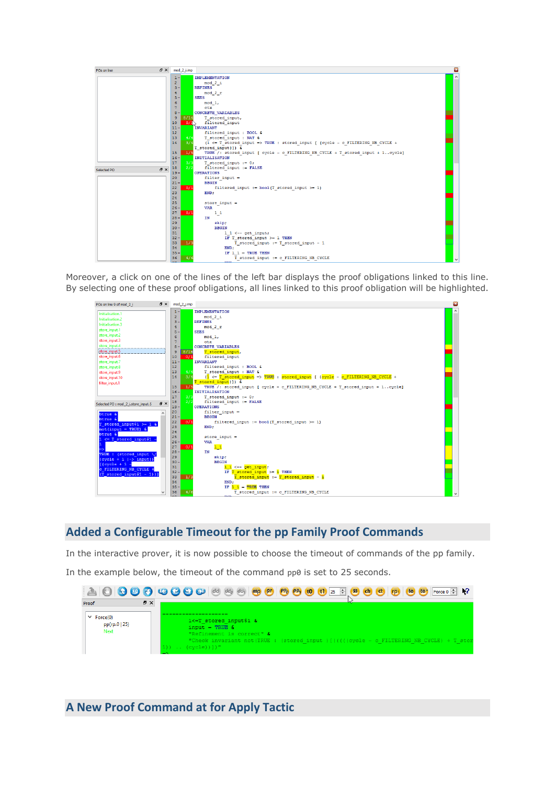

Moreover, a click on one of the lines of the left bar displays the proof obligations linked to this line. By selecting one of these proof obligations, all lines linked to this proof obligation will be highlighted.



## **Added a Configurable Timeout for the pp Family Proof Commands**

In the interactive prover, it is now possible to choose the timeout of commands of the pp family. In the example below, the timeout of the command pp0 is set to 25 seconds.

| Proof<br>$\vee$ Force(0)<br>pp(rp.0   25) | F X | 1<=T stored input\$1 &<br>$input = TRUE$ &                                                                                                   |
|-------------------------------------------|-----|----------------------------------------------------------------------------------------------------------------------------------------------|
| Next                                      |     | "Refinement is correct" &<br>"Check invariant not(TRUE : (stored input ) [(((((cycle - c FILTERING NB CYCLE) + T sto)<br>$\cdot$ (cycle))])" |

**A New Proof Command at for Apply Tactic**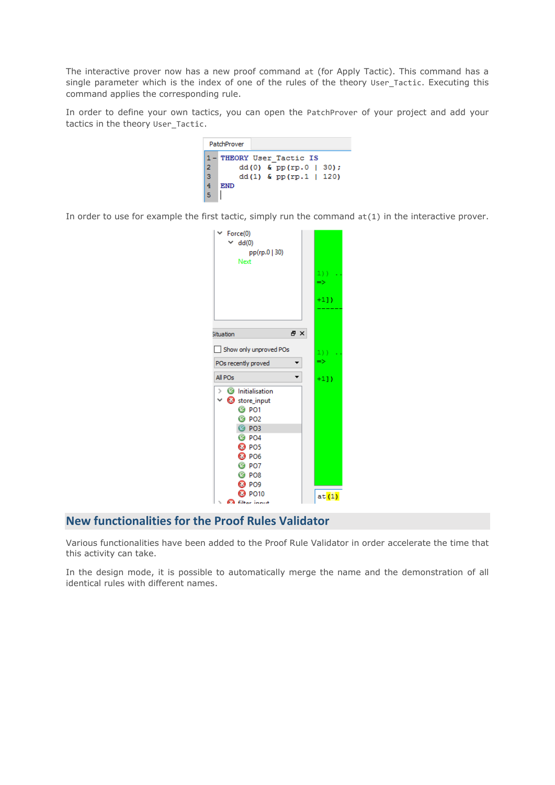The interactive prover now has a new proof command at (for Apply Tactic). This command has a single parameter which is the index of one of the rules of the theory User Tactic. Executing this command applies the corresponding rule.

In order to define your own tactics, you can open the PatchProver of your project and add your tactics in the theory User\_Tactic.

|     | PatchProver |  |                               |  |  |
|-----|-------------|--|-------------------------------|--|--|
|     |             |  | 1- THEORY User Tactic IS      |  |  |
| 12. |             |  | dd $(0)$ & pp $(rp.0   30)$ ; |  |  |
| lз  |             |  | dd(1) $\&$ pp(rp.1   120)     |  |  |
| 4   | END         |  |                               |  |  |
|     |             |  |                               |  |  |

In order to use for example the first tactic, simply run the command  $at(1)$  in the interactive prover.

| Force(0)<br>dd(0)<br>pp(rp.0   30)<br>Next                                                                                                                                                                                               | $1)$ )<br>$\Rightarrow$ |
|------------------------------------------------------------------------------------------------------------------------------------------------------------------------------------------------------------------------------------------|-------------------------|
|                                                                                                                                                                                                                                          | $+1$ ])                 |
| 日 ×<br>ituation                                                                                                                                                                                                                          |                         |
| Show only unproved POs<br>POs recently proved                                                                                                                                                                                            | 1)<br>$\Rightarrow$     |
|                                                                                                                                                                                                                                          |                         |
| All POs                                                                                                                                                                                                                                  | $+1$ ])                 |
| $\sum$ Initialisation<br>$\times$ $\bullet$ store_input<br><b>8 PO1</b><br><b>8</b> PO2<br><b>@ PO3</b><br><b>3 PO4</b><br><sup>3</sup> PO <sub>5</sub><br><b>O</b> PO6<br><b>@ PO7</b><br><b>B</b> PO8<br><b>O</b> PO9<br><b>8</b> PO10 |                         |

## **New functionalities for the Proof Rules Validator**

Various functionalities have been added to the Proof Rule Validator in order accelerate the time that this activity can take.

In the design mode, it is possible to automatically merge the name and the demonstration of all identical rules with different names.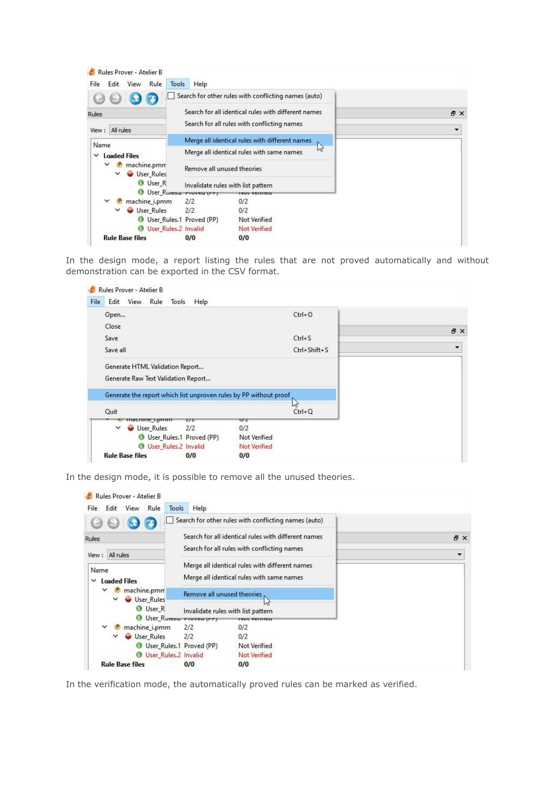| Rules Prover - Atelier B<br>Rule<br>Edit<br><b>View</b><br>Tools<br>File                                 | Help                                                                                               |          |
|----------------------------------------------------------------------------------------------------------|----------------------------------------------------------------------------------------------------|----------|
|                                                                                                          | Search for other rules with conflicting names (auto)                                               |          |
| Rules<br>View: All rules                                                                                 | Search for all identical rules with different names<br>Search for all rules with conflicting names | 日 X<br>٠ |
| Name                                                                                                     | Merge all identical rules with different names<br>B<br>Merge all identical rules with same names   |          |
| <b>Loaded Files</b><br>$\checkmark$<br>machine.pmm<br>$\checkmark$<br>User_Rules<br>$\checkmark$         | Remove all unused theories                                                                         |          |
| <b>O</b> User R<br><b>O</b> User_Ruresia riview (rr)                                                     | Invalidate rules with list pattern<br><b>NUL VEHITEU</b>                                           |          |
| machine_i.pmm<br>User Rules<br>$\checkmark$<br>User_Rules.1 Proved (PP)<br><b>O</b> User_Rules.2 Invalid | 2/2<br>0/2<br>2/2<br>0/2<br>Not Verified<br><b>Not Verified</b>                                    |          |
| <b>Rule Base files</b>                                                                                   | 0/0<br>0/0                                                                                         |          |

In the design mode, a report listing the rules that are not proved automatically and without demonstration can be exported in the CSV format.

| File<br>Edit View Rule Tools                                           | Help                              | $Ctrl + O$          |     |
|------------------------------------------------------------------------|-----------------------------------|---------------------|-----|
| Open                                                                   |                                   |                     |     |
| Close                                                                  |                                   |                     | 日 × |
| Save                                                                   |                                   | $Ctrl + S$          |     |
| Save all                                                               |                                   | Ctrl+Shift+S        |     |
| Generate HTML Validation Report<br>Generate Raw Text Validation Report |                                   |                     |     |
| Generate the report which list unproven rules by PP without proof      |                                   |                     |     |
| Quit                                                                   |                                   | $\mu$<br>$Ctrl + Q$ |     |
| macmme_npmm<br>$\checkmark$                                            | C/C<br>U <sub>L</sub>             |                     |     |
| <b>User Rules</b><br><b>O</b> User_Rules.1 Proved (PP)                 | 2/2<br>0/2<br><b>Not Verified</b> |                     |     |
| <b>O</b> User_Rules.2 Invalid                                          | <b>Not Verified</b>               |                     |     |

In the design mode, it is possible to remove all the unused theories.



In the verification mode, the automatically proved rules can be marked as verified.